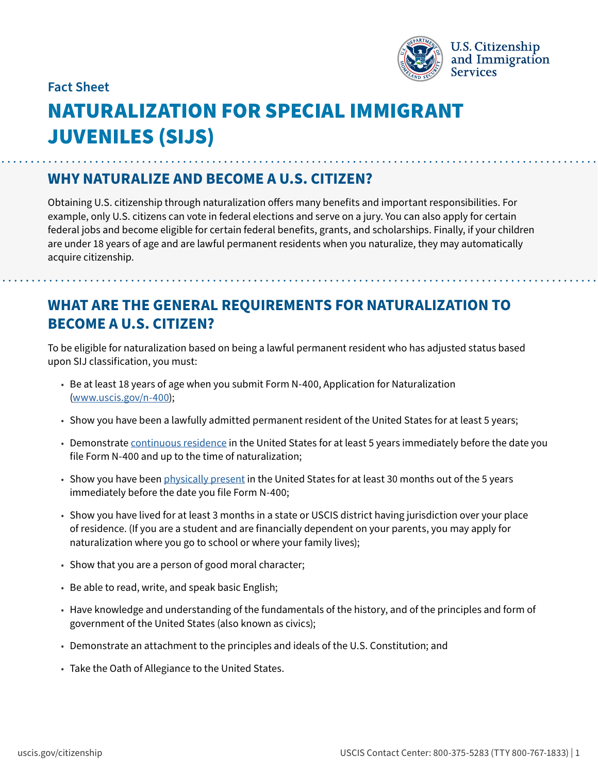

#### **Fact Sheet**

# NATURALIZATION FOR SPECIAL IMMIGRANT JUVENILES (SIJS)

#### **WHY NATURALIZE AND BECOME A U.S. CITIZEN?**

Obtaining U.S. citizenship through naturalization offers many benefits and important responsibilities. For example, only U.S. citizens can vote in federal elections and serve on a jury. You can also apply for certain federal jobs and become eligible for certain federal benefits, grants, and scholarships. Finally, if your children are under 18 years of age and are lawful permanent residents when you naturalize, they may automatically acquire citizenship.

### **WHAT ARE THE GENERAL REQUIREMENTS FOR NATURALIZATION TO BECOME A U.S. CITIZEN?**

To be eligible for naturalization based on being a lawful permanent resident who has adjusted status based upon SIJ classification, you must:

- Be at least 18 years of age when you submit Form N-400, Application for Naturalization ([www.uscis.gov/n-400](http://www.uscis.gov/n-400));
- Show you have been a lawfully admitted permanent resident of the United States for at least 5 years;
- Demonstrate [continuous residence](https://www.uscis.gov/policy-manual/volume-12-part-d-chapter-3) in the United States for at least 5 years immediately before the date you file Form N-400 and up to the time of naturalization;
- Show you have been [physically present](https://www.uscis.gov/policy-manual/volume-12-part-d-chapter-4) in the United States for at least 30 months out of the 5 years immediately before the date you file Form N-400;
- Show you have lived for at least 3 months in a state or USCIS district having jurisdiction over your place of residence. (If you are a student and are financially dependent on your parents, you may apply for naturalization where you go to school or where your family lives);
- Show that you are a person of good moral character;
- Be able to read, write, and speak basic English;
- Have knowledge and understanding of the fundamentals of the history, and of the principles and form of government of the United States (also known as civics);
- Demonstrate an attachment to the principles and ideals of the U.S. Constitution; and
- Take the Oath of Allegiance to the United States.